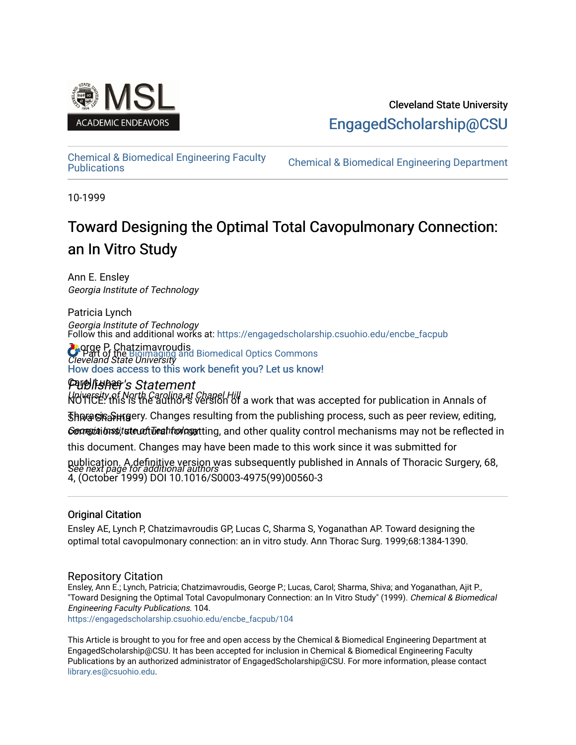

## Cleveland State University [EngagedScholarship@CSU](https://engagedscholarship.csuohio.edu/)

[Chemical & Biomedical Engineering Faculty](https://engagedscholarship.csuohio.edu/encbe_facpub) 

**Chemical & Biomedical Engineering Department** 

10-1999

# Toward Designing the Optimal Total Cavopulmonary Connection: an In Vitro Study

Ann E. Ensley Georgia Institute of Technology

Patricia Lynch Georgia Institute of Technology Follow this and additional works at: [https://engagedscholarship.csuohio.edu/encbe\\_facpub](https://engagedscholarship.csuohio.edu/encbe_facpub?utm_source=engagedscholarship.csuohio.edu%2Fencbe_facpub%2F104&utm_medium=PDF&utm_campaign=PDFCoverPages) 

**Pagge P. Chatzimavroudis C** Part of the [Bioimaging and Biomedical Optics Commons](http://network.bepress.com/hgg/discipline/232?utm_source=engagedscholarship.csuohio.edu%2Fencbe_facpub%2F104&utm_medium=PDF&utm_campaign=PDFCoverPages)<br>*Cleveland State University* [How does access to this work benefit you? Let us know!](http://library.csuohio.edu/engaged/)

## Carol Lucas Publisher's Statement

University of North Carolina at Chapel Hill NOTICE: this is the author's version of a work that was accepted for publication in Annals of Thல ေ Sharma Sharma Changes resulting from the publishing process, such as peer review, editing, Genetitions that the of Teahnology that ing, and other quality control mechanisms may not be reflected in publication. A definitive version was subsequently published in Annals of Thoracic Surgery, 68,<br>See next page for additional authors this document. Changes may have been made to this work since it was submitted for

4, (October 1999) DOI 10.1016/S0003-4975(99)00560-3

### Original Citation

Ensley AE, Lynch P, Chatzimavroudis GP, Lucas C, Sharma S, Yoganathan AP. Toward designing the optimal total cavopulmonary connection: an in vitro study. Ann Thorac Surg. 1999;68:1384-1390.

### Repository Citation

Ensley, Ann E.; Lynch, Patricia; Chatzimavroudis, George P.; Lucas, Carol; Sharma, Shiva; and Yoganathan, Ajit P., "Toward Designing the Optimal Total Cavopulmonary Connection: an In Vitro Study" (1999). Chemical & Biomedical Engineering Faculty Publications. 104.

[https://engagedscholarship.csuohio.edu/encbe\\_facpub/104](https://engagedscholarship.csuohio.edu/encbe_facpub/104?utm_source=engagedscholarship.csuohio.edu%2Fencbe_facpub%2F104&utm_medium=PDF&utm_campaign=PDFCoverPages) 

This Article is brought to you for free and open access by the Chemical & Biomedical Engineering Department at EngagedScholarship@CSU. It has been accepted for inclusion in Chemical & Biomedical Engineering Faculty Publications by an authorized administrator of EngagedScholarship@CSU. For more information, please contact [library.es@csuohio.edu.](mailto:library.es@csuohio.edu)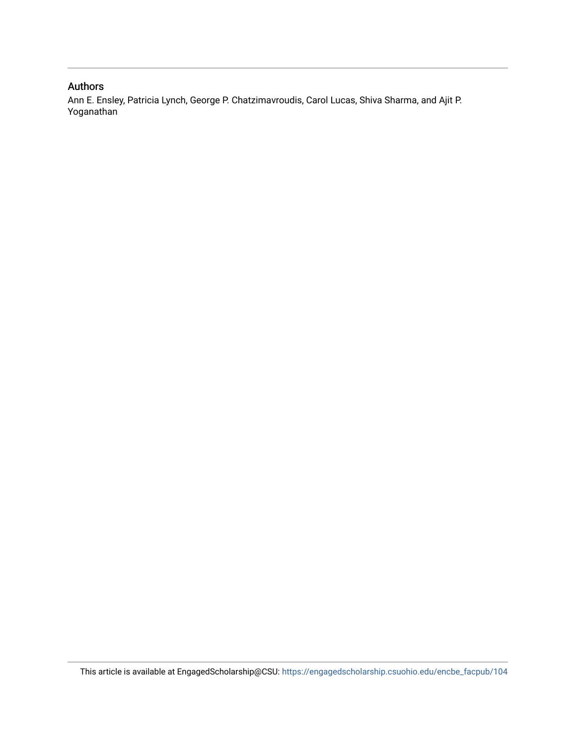## Authors

Ann E. Ensley, Patricia Lynch, George P. Chatzimavroudis, Carol Lucas, Shiva Sharma, and Ajit P. Yoganathan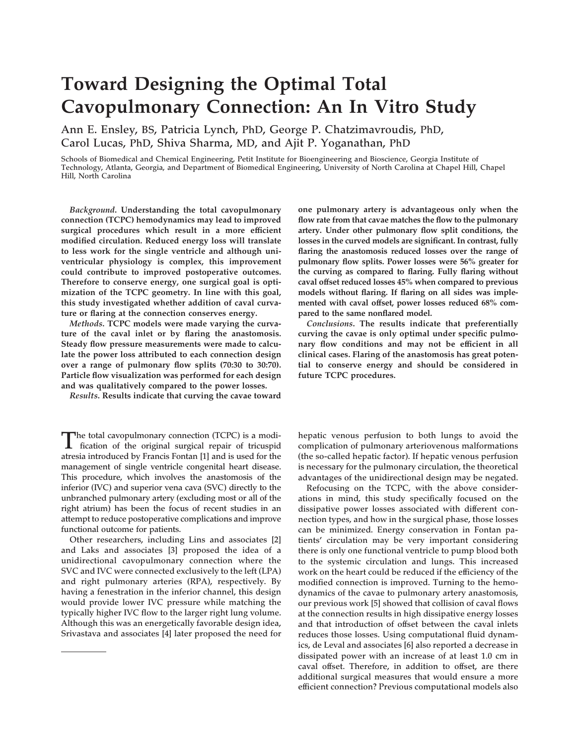# **Toward Designing the Optimal Total Cavopulmonary Connection: An In Vitro Study**

**Ann E. Ensley, BS, Patricia Lynch, PhD, George P. Chatzimavroudis, PhD, Carol Lucas, PhD, Shiva Sharma, MD, and Ajit P. Yoganathan, PhD** 

**Schools of Biomedical and Chemical Engineering, Petit Institute for Bioengineering and Bioscience, Georgia Institute of Technology, Atlanta, Georgia, and Department of Biomedical Engineering, University of North Carolina at Chapel Hill, Chapel Hill, North Carolina** 

*Background***. Understanding the total cavopulmonary connection (TCPC) hemodynamics may lead to improved surgical procedures which result in a more efficient modified circulation. Reduced energy loss will translate to less work for the single ventricle and although univentricular physiology is complex, this improvement could contribute to improved postoperative outcomes. Therefore to conserve energy, one surgical goal is optimization of the TCPC geometry. In line with this goal, this study investigated whether addition of caval curvature or flaring at the connection conserves energy.** 

*Methods***. TCPC models were made varying the curvature of the caval inlet or by flaring the anastomosis. Steady flow pressure measurements were made to calculate the power loss attributed to each connection design over a range of pulmonary flow splits (70:30 to 30:70). Particle flow visualization was performed for each design and was qualitatively compared to the power losses.** 

*Results***. Results indicate that curving the cavae toward** 

**The total cavopulmonary connection (TCPC) is a modi-fication of the original surgical repair of tricuspid atresia introduced by Francis Fontan [1] and is used for the management of single ventricle congenital heart disease. This procedure, which involves the anastomosis of the inferior (IVC) and superior vena cava (SVC) directly to the unbranched pulmonary artery (excluding most or all of the right atrium) has been the focus of recent studies in an attempt to reduce postoperative complications and improve functional outcome for patients.** 

**Other researchers, including Lins and associates [2] and Laks and associates [3] proposed the idea of a unidirectional cavopulmonary connection where the SVC and IVC were connected exclusively to the left (LPA) and right pulmonary arteries (RPA), respectively. By having a fenestration in the inferior channel, this design would provide lower IVC pressure while matching the typically higher IVC flow to the larger right lung volume. Although this was an energetically favorable design idea, Srivastava and associates [4] later proposed the need for** 

**one pulmonary artery is advantageous only when the flow rate from that cavae matches the flow to the pulmonary artery. Under other pulmonary flow split conditions, the losses in the curved models are significant. In contrast, fully flaring the anastomosis reduced losses over the range of pulmonary flow splits. Power losses were 56% greater for the curving as compared to flaring. Fully flaring without caval offset reduced losses 45% when compared to previous models without flaring. If flaring on all sides was implemented with caval offset, power losses reduced 68% compared to the same nonflared model.** 

*Conclusions***. The results indicate that preferentially curving the cavae is only optimal under specific pulmonary flow conditions and may not be efficient in all clinical cases. Flaring of the anastomosis has great potential to conserve energy and should be considered in future TCPC procedures.** 

**hepatic venous perfusion to both lungs to avoid the complication of pulmonary arteriovenous malformations (the so-called hepatic factor). If hepatic venous perfusion is necessary for the pulmonary circulation, the theoretical advantages of the unidirectional design may be negated.** 

**Refocusing on the TCPC, with the above considerations in mind, this study specifically focused on the dissipative power losses associated with different connection types, and how in the surgical phase, those losses can be minimized. Energy conservation in Fontan patients' circulation may be very important considering there is only one functional ventricle to pump blood both to the systemic circulation and lungs. This increased work on the heart could be reduced if the efficiency of the modified connection is improved. Turning to the hemodynamics of the cavae to pulmonary artery anastomosis, our previous work [5] showed that collision of caval flows at the connection results in high dissipative energy losses and that introduction of offset between the caval inlets reduces those losses. Using computational fluid dynamics, de Leval and associates [6] also reported a decrease in dissipated power with an increase of at least 1.0 cm in caval offset. Therefore, in addition to offset, are there additional surgical measures that would ensure a more efficient connection? Previous computational models also**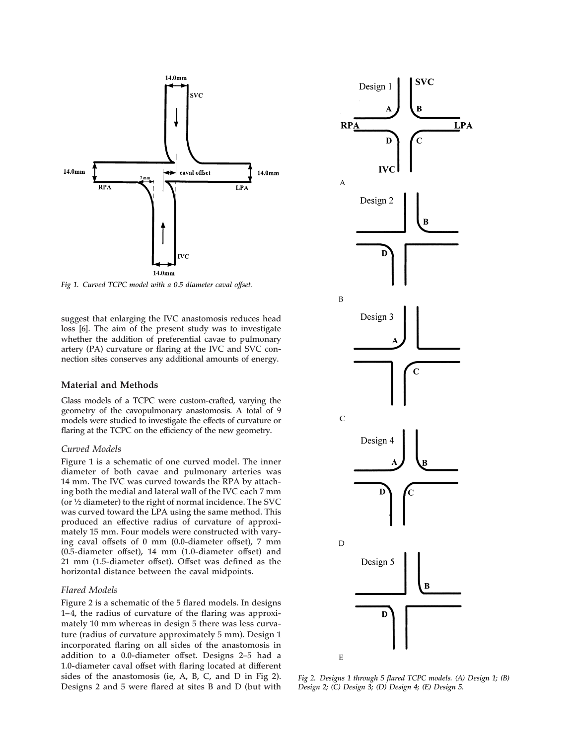

*Fig 1. Curved TCPC model with a 0.5 diameter caval offset.* 

**suggest that enlarging the IVC anastomosis reduces head loss [6]. The aim of the present study was to investigate whether the addition of preferential cavae to pulmonary artery (PA) curvature or flaring at the IVC and SVC connection sites conserves any additional amounts of energy.** 

#### **Material and Methods**

**Glass models of a TCPC were custom-crafted, varying the geometry of the cavopulmonary anastomosis. A total of 9 models were studied to investigate the effects of curvature or flaring at the TCPC on the efficiency of the new geometry.** 

#### *Curved Models*

**Figure 1 is a schematic of one curved model. The inner diameter of both cavae and pulmonary arteries was 14 mm. The IVC was curved towards the RPA by attaching both the medial and lateral wall of the IVC each 7 mm (or 1⁄2 diameter) to the right of normal incidence. The SVC was curved toward the LPA using the same method. This produced an effective radius of curvature of approximately 15 mm. Four models were constructed with varying caval offsets of 0 mm (0.0-diameter offset), 7 mm (0.5-diameter offset), 14 mm (1.0-diameter offset) and 21 mm (1.5-diameter offset). Offset was defined as the horizontal distance between the caval midpoints.** 

#### *Flared Models*

**Figure 2 is a schematic of the 5 flared models. In designs 1–4, the radius of curvature of the flaring was approximately 10 mm whereas in design 5 there was less curvature (radius of curvature approximately 5 mm). Design 1 incorporated flaring on all sides of the anastomosis in addition to a 0.0-diameter offset. Designs 2–5 had a 1.0-diameter caval offset with flaring located at different sides of the anastomosis (ie, A, B, C, and D in Fig 2). Designs 2 and 5 were flared at sites B and D (but with** 



*Fig 2. Designs 1 through 5 flared TCPC models. (A) Design 1; (B) Design 2; (C) Design 3; (D) Design 4; (E) Design 5.*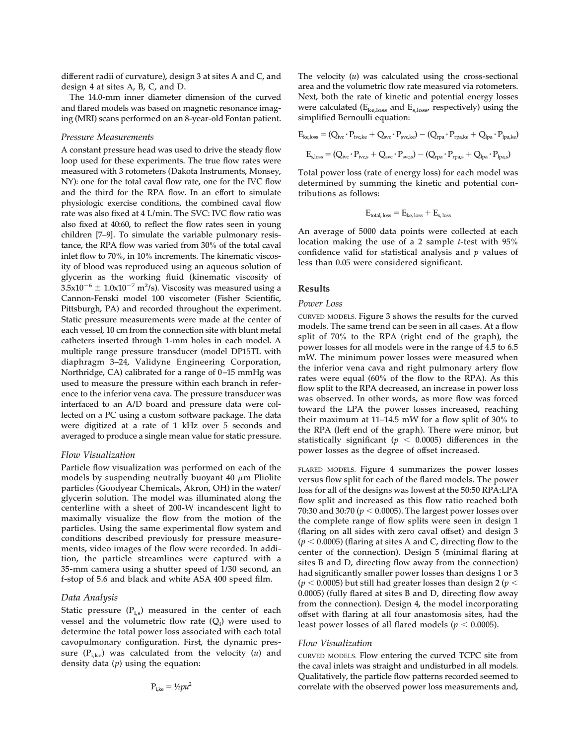**different radii of curvature), design 3 at sites A and C, and design 4 at sites A, B, C, and D.** 

**The 14.0-mm inner diameter dimension of the curved and flared models was based on magnetic resonance imaging (MRI) scans performed on an 8-year-old Fontan patient.** 

#### *Pressure Measurements*

**A constant pressure head was used to drive the steady flow loop used for these experiments. The true flow rates were measured with 3 rotometers (Dakota Instruments, Monsey, NY): one for the total caval flow rate, one for the IVC flow and the third for the RPA flow. In an effort to simulate physiologic exercise conditions, the combined caval flow rate was also fixed at 4 L/min. The SVC: IVC flow ratio was also fixed at 40:60, to reflect the flow rates seen in young children [7–9]. To simulate the variable pulmonary resistance, the RPA flow was varied from 30% of the total caval inlet flow to 70%, in 10% increments. The kinematic viscosity of blood was reproduced using an aqueous solution of glycerin as the working fluid (kinematic viscosity of**   $3.5 \times 10^{-6} \pm 1.0 \times 10^{-7}$  m<sup>2</sup>/s). Viscosity was measured using a **Cannon-Fenski model 100 viscometer (Fisher Scientific, Pittsburgh, PA) and recorded throughout the experiment. Static pressure measurements were made at the center of each vessel, 10 cm from the connection site with blunt metal catheters inserted through 1-mm holes in each model. A multiple range pressure transducer (model DP15TL with diaphragm 3–24, Validyne Engineering Corporation, Northridge, CA) calibrated for a range of 0–15 mmHg was used to measure the pressure within each branch in reference to the inferior vena cava. The pressure transducer was interfaced to an A/D board and pressure data were collected on a PC using a custom software package. The data were digitized at a rate of 1 kHz over 5 seconds and averaged to produce a single mean value for static pressure.** 

#### *Flow Visualization*

**Particle flow visualization was performed on each of the**  models by suspending neutrally buoyant 40  $\mu$ m Pliolite **particles (Goodyear Chemicals, Akron, OH) in the water/ glycerin solution. The model was illuminated along the centerline with a sheet of 200-W incandescent light to maximally visualize the flow from the motion of the particles. Using the same experimental flow system and conditions described previously for pressure measurements, video images of the flow were recorded. In addition, the particle streamlines were captured with a 35-mm camera using a shutter speed of 1/30 second, an f-stop of 5.6 and black and white ASA 400 speed film.** 

#### *Data Analysis*

Static pressure (P<sub>i.s</sub>) measured in the center of each vessel and the volumetric flow rate  $(Q_i)$  were used to **determine the total power loss associated with each total cavopulmonary configuration. First, the dynamic pres**sure  $(P_{i,k}$  was calculated from the velocity  $(u)$  and **density data (***p***) using the equation:** 

$$
P_{i,ke} = 1/2pu^2
$$

**The velocity (***u***) was calculated using the cross-sectional area and the volumetric flow rate measured via rotometers. Next, both the rate of kinetic and potential energy losses were calculated (Eke,loss and Es,loss, respectively) using the simplified Bernoulli equation:** 

$$
E_{\rm ke,loss} = (Q_{\rm ivc} \cdot P_{\rm ivc,ke} + Q_{\rm svc} \cdot P_{\rm svc,ke}) - (Q_{\rm rpa} \cdot P_{\rm rpa,ke} + Q_{\rm lpa} \cdot P_{\rm lpa,ke})
$$
  

$$
E_{\rm s,loss} = (Q_{\rm ivc} \cdot P_{\rm ivc,s} + Q_{\rm svc} \cdot P_{\rm svc,s}) - (Q_{\rm rpa} \cdot P_{\rm rpa,s} + Q_{\rm lpa} \cdot P_{\rm lpa,s})
$$

**Total power loss (rate of energy loss) for each model was determined by summing the kinetic and potential contributions as follows:** 

$$
E_{\text{total, loss}} = E_{\text{ke, loss}} + E_{\text{s, loss}}
$$

**An average of 5000 data points were collected at each location making the use of a 2 sample** *t***-test with 95% confidence valid for statistical analysis and** *p* **values of less than 0.05 were considered significant.** 

#### **Results**

#### *Power Loss*

**CURVED MODELS. Figure 3 shows the results for the curved models. The same trend can be seen in all cases. At a flow split of 70% to the RPA (right end of the graph), the power losses for all models were in the range of 4.5 to 6.5 mW. The minimum power losses were measured when the inferior vena cava and right pulmonary artery flow rates were equal (60% of the flow to the RPA). As this flow split to the RPA decreased, an increase in power loss was observed. In other words, as more flow was forced toward the LPA the power losses increased, reaching their maximum at 11–14.5 mW for a flow split of 30% to the RPA (left end of the graph). There were minor, but statistically significant (***p* < **0.0005) differences in the power losses as the degree of offset increased.** 

**FLARED MODELS. Figure 4 summarizes the power losses versus flow split for each of the flared models. The power loss for all of the designs was lowest at the 50:50 RPA:LPA flow split and increased as this flow ratio reached both 70:30 and 30:70 (***p* < **0.0005). The largest power losses over the complete range of flow splits were seen in design 1 (flaring on all sides with zero caval offset) and design 3 (***p* < **0.0005) (flaring at sites A and C, directing flow to the center of the connection). Design 5 (minimal flaring at sites B and D, directing flow away from the connection) had significantly smaller power losses than designs 1 or 3**   $(p < 0.0005)$  but still had greater losses than design 2 ( $p <$ **0.0005) (fully flared at sites B and D, directing flow away from the connection). Design 4, the model incorporating offset with flaring at all four anastomosis sites, had the least power losses of all flared models (** $p < 0.0005$ **).** 

#### *Flow Visualization*

**CURVED MODELS. Flow entering the curved TCPC site from the caval inlets was straight and undisturbed in all models. Qualitatively, the particle flow patterns recorded seemed to correlate with the observed power loss measurements and,**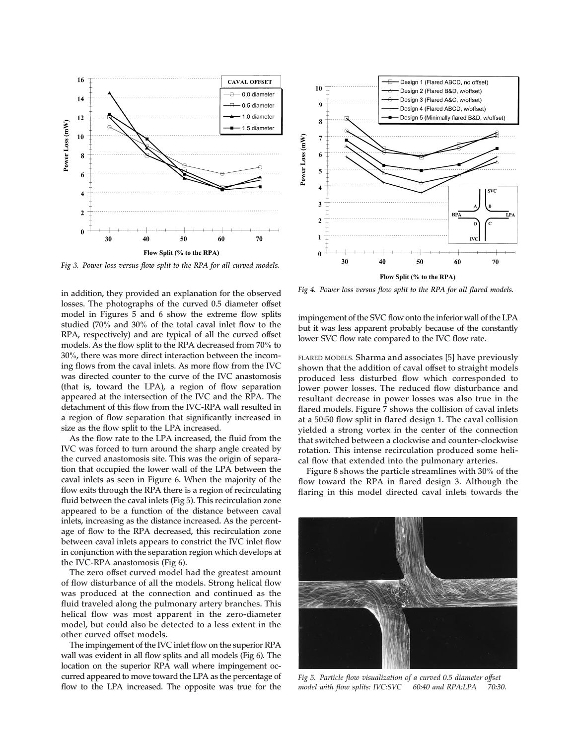

*Fig 3. Power loss versus flow split to the RPA for all curved models.* 

*Fig 4. Power loss versus flow split to the RPA for all flared models.* **in addition, they provided an explanation for the observed losses. The photographs of the curved 0.5 diameter offset model in Figures 5 and 6 show the extreme flow splits studied (70% and 30% of the total caval inlet flow to the RPA, respectively) and are typical of all the curved offset models. As the flow split to the RPA decreased from 70% to 30%, there was more direct interaction between the incoming flows from the caval inlets. As more flow from the IVC was directed counter to the curve of the IVC anastomosis (that is, toward the LPA), a region of flow separation appeared at the intersection of the IVC and the RPA. The detachment of this flow from the IVC-RPA wall resulted in a region of flow separation that significantly increased in size as the flow split to the LPA increased.** 

**As the flow rate to the LPA increased, the fluid from the IVC was forced to turn around the sharp angle created by the curved anastomosis site. This was the origin of separation that occupied the lower wall of the LPA between the caval inlets as seen in Figure 6. When the majority of the flow exits through the RPA there is a region of recirculating fluid between the caval inlets (Fig 5). This recirculation zone appeared to be a function of the distance between caval inlets, increasing as the distance increased. As the percentage of flow to the RPA decreased, this recirculation zone between caval inlets appears to constrict the IVC inlet flow in conjunction with the separation region which develops at the IVC-RPA anastomosis (Fig 6).** 

**The zero offset curved model had the greatest amount of flow disturbance of all the models. Strong helical flow was produced at the connection and continued as the fluid traveled along the pulmonary artery branches. This helical flow was most apparent in the zero-diameter model, but could also be detected to a less extent in the other curved offset models.** 

**The impingement of the IVC inlet flow on the superior RPA wall was evident in all flow splits and all models (Fig 6). The location on the superior RPA wall where impingement occurred appeared to move toward the LPA as the percentage of flow to the LPA increased. The opposite was true for the** 



**impingement of the SVC flow onto the inferior wall of the LPA but it was less apparent probably because of the constantly lower SVC flow rate compared to the IVC flow rate.** 

**FLARED MODELS. Sharma and associates [5] have previously shown that the addition of caval offset to straight models produced less disturbed flow which corresponded to lower power losses. The reduced flow disturbance and resultant decrease in power losses was also true in the flared models. Figure 7 shows the collision of caval inlets at a 50:50 flow split in flared design 1. The caval collision yielded a strong vortex in the center of the connection that switched between a clockwise and counter-clockwise rotation. This intense recirculation produced some helical flow that extended into the pulmonary arteries.** 

**Figure 8 shows the particle streamlines with 30% of the flow toward the RPA in flared design 3. Although the flaring in this model directed caval inlets towards the** 



 *model with flow splits: IVC:SVC 60:40 and RPA:LPA 70:30. Fig 5. Particle flow visualization of a curved 0.5 diameter offset*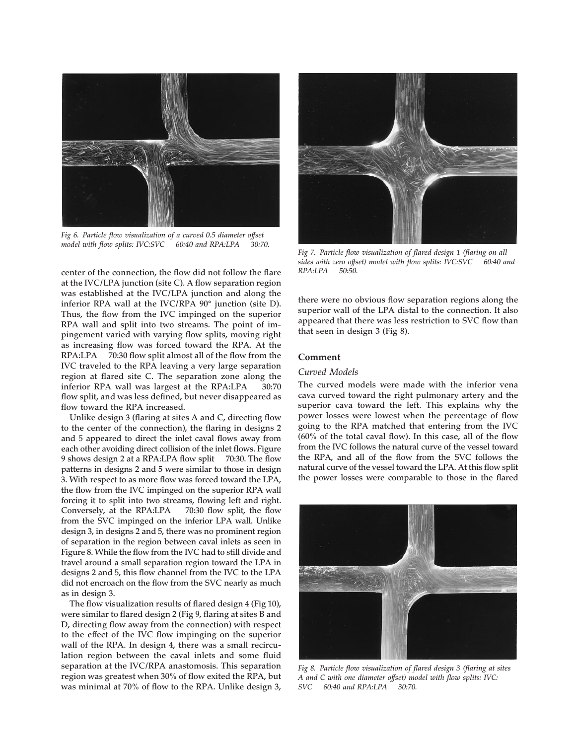

 *model with flow splits: IVC:SVC 60:40 and RPA:LPA 30:70. Fig 6. Particle flow visualization of a curved 0.5 diameter offset* 

 **RPA:LPA 70:30 flow split almost all of the flow from the center of the connection, the flow did not follow the flare at the IVC/LPA junction (site C). A flow separation region was established at the IVC/LPA junction and along the inferior RPA wall at the IVC/RPA 90° junction (site D). Thus, the flow from the IVC impinged on the superior RPA wall and split into two streams. The point of impingement varied with varying flow splits, moving right as increasing flow was forced toward the RPA. At the IVC traveled to the RPA leaving a very large separation region at flared site C. The separation zone along the inferior RPA wall was largest at the RPA:LPA 30:70 flow split, and was less defined, but never disappeared as flow toward the RPA increased.** 

 **9 shows design 2 at a RPA:LPA flow split 70:30. The flow Unlike design 3 (flaring at sites A and C, directing flow to the center of the connection), the flaring in designs 2 and 5 appeared to direct the inlet caval flows away from each other avoiding direct collision of the inlet flows. Figure patterns in designs 2 and 5 were similar to those in design 3. With respect to as more flow was forced toward the LPA, the flow from the IVC impinged on the superior RPA wall forcing it to split into two streams, flowing left and right. Conversely, at the RPA:LPA 70:30 flow split, the flow from the SVC impinged on the inferior LPA wall. Unlike design 3, in designs 2 and 5, there was no prominent region of separation in the region between caval inlets as seen in Figure 8. While the flow from the IVC had to still divide and travel around a small separation region toward the LPA in designs 2 and 5, this flow channel from the IVC to the LPA did not encroach on the flow from the SVC nearly as much as in design 3.** 

**The flow visualization results of flared design 4 (Fig 10), were similar to flared design 2 (Fig 9, flaring at sites B and D, directing flow away from the connection) with respect to the effect of the IVC flow impinging on the superior wall of the RPA. In design 4, there was a small recirculation region between the caval inlets and some fluid separation at the IVC/RPA anastomosis. This separation region was greatest when 30% of flow exited the RPA, but was minimal at 70% of flow to the RPA. Unlike design 3,** 



 *sides with zero offset) model with flow splits: IVC:SVC 60:40 and RPA:LPA 50:50. Fig 7. Particle flow visualization of flared design 1 (flaring on all* 

**there were no obvious flow separation regions along the superior wall of the LPA distal to the connection. It also appeared that there was less restriction to SVC flow than that seen in design 3 (Fig 8).** 

#### **Comment**

#### *Curved Models*

**The curved models were made with the inferior vena cava curved toward the right pulmonary artery and the superior cava toward the left. This explains why the power losses were lowest when the percentage of flow going to the RPA matched that entering from the IVC (60% of the total caval flow). In this case, all of the flow from the IVC follows the natural curve of the vessel toward the RPA, and all of the flow from the SVC follows the natural curve of the vessel toward the LPA. At this flow split the power losses were comparable to those in the flared** 



 *SVC 60:40 and RPA:LPA 30:70. Fig 8. Particle flow visualization of flared design 3 (flaring at sites A and C with one diameter offset) model with flow splits: IVC:*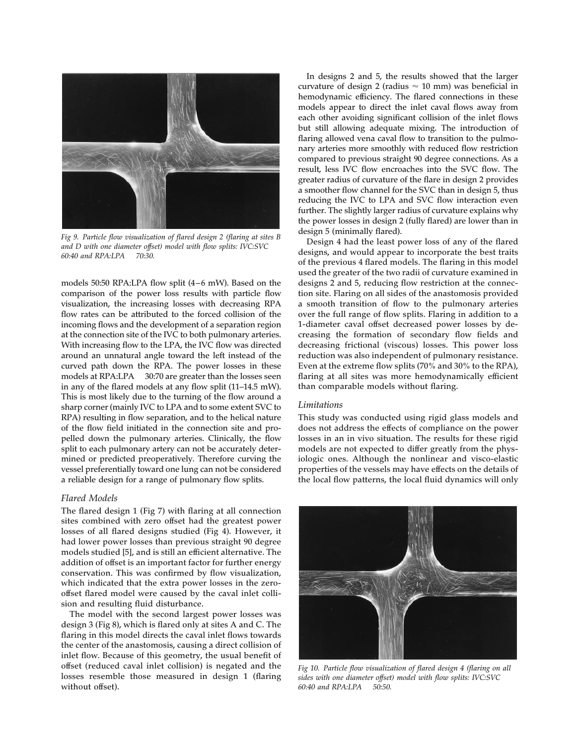

 *60:40 and RPA:LPA 70:30. Fig 9. Particle flow visualization of flared design 2 (flaring at sites B and D with one diameter offset) model with flow splits: IVC:SVC* 

 **models at RPA:LPA 30:70 are greater than the losses seen models 50:50 RPA:LPA flow split (4 –6 mW). Based on the comparison of the power loss results with particle flow visualization, the increasing losses with decreasing RPA flow rates can be attributed to the forced collision of the incoming flows and the development of a separation region at the connection site of the IVC to both pulmonary arteries. With increasing flow to the LPA, the IVC flow was directed around an unnatural angle toward the left instead of the curved path down the RPA. The power losses in these in any of the flared models at any flow split (11–14.5 mW). This is most likely due to the turning of the flow around a sharp corner (mainly IVC to LPA and to some extent SVC to RPA) resulting in flow separation, and to the helical nature of the flow field initiated in the connection site and propelled down the pulmonary arteries. Clinically, the flow split to each pulmonary artery can not be accurately determined or predicted preoperatively. Therefore curving the vessel preferentially toward one lung can not be considered a reliable design for a range of pulmonary flow splits.** 

#### *Flared Models*

**The flared design 1 (Fig 7) with flaring at all connection sites combined with zero offset had the greatest power losses of all flared designs studied (Fig 4). However, it had lower power losses than previous straight 90 degree models studied [5], and is still an efficient alternative. The addition of offset is an important factor for further energy conservation. This was confirmed by flow visualization, which indicated that the extra power losses in the zerooffset flared model were caused by the caval inlet collision and resulting fluid disturbance.** 

**The model with the second largest power losses was design 3 (Fig 8), which is flared only at sites A and C. The flaring in this model directs the caval inlet flows towards the center of the anastomosis, causing a direct collision of inlet flow. Because of this geometry, the usual benefit of offset (reduced caval inlet collision) is negated and the losses resemble those measured in design 1 (flaring without offset).** 

**In designs 2 and 5, the results showed that the larger**  curvature of design 2 (radius  $\approx$  10 mm) was beneficial in **hemodynamic efficiency. The flared connections in these models appear to direct the inlet caval flows away from each other avoiding significant collision of the inlet flows but still allowing adequate mixing. The introduction of flaring allowed vena caval flow to transition to the pulmonary arteries more smoothly with reduced flow restriction compared to previous straight 90 degree connections. As a result, less IVC flow encroaches into the SVC flow. The greater radius of curvature of the flare in design 2 provides a smoother flow channel for the SVC than in design 5, thus reducing the IVC to LPA and SVC flow interaction even further. The slightly larger radius of curvature explains why the power losses in design 2 (fully flared) are lower than in design 5 (minimally flared).** 

**Design 4 had the least power loss of any of the flared designs, and would appear to incorporate the best traits of the previous 4 flared models. The flaring in this model used the greater of the two radii of curvature examined in designs 2 and 5, reducing flow restriction at the connection site. Flaring on all sides of the anastomosis provided a smooth transition of flow to the pulmonary arteries over the full range of flow splits. Flaring in addition to a 1-diameter caval offset decreased power losses by decreasing the formation of secondary flow fields and decreasing frictional (viscous) losses. This power loss reduction was also independent of pulmonary resistance. Even at the extreme flow splits (70% and 30% to the RPA), flaring at all sites was more hemodynamically efficient than comparable models without flaring.** 

#### *Limitations*

**This study was conducted using rigid glass models and does not address the effects of compliance on the power losses in an in vivo situation. The results for these rigid models are not expected to differ greatly from the physiologic ones. Although the nonlinear and visco-elastic properties of the vessels may have effects on the details of the local flow patterns, the local fluid dynamics will only** 



 *60:40 and RPA:LPA 50:50. Fig 10. Particle flow visualization of flared design 4 (flaring on all sides with one diameter offset) model with flow splits: IVC:SVC*